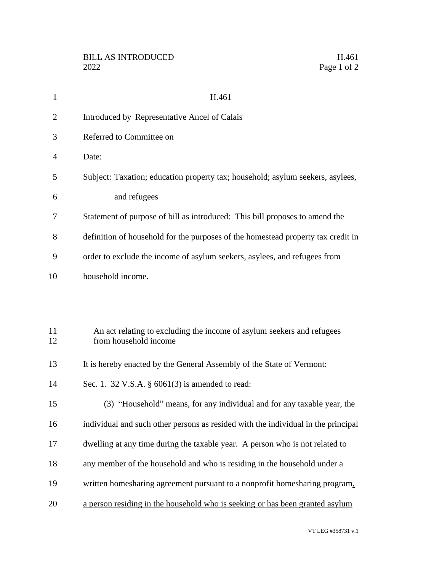| $\mathbf{1}$   | H.461                                                                                           |
|----------------|-------------------------------------------------------------------------------------------------|
| $\overline{2}$ | Introduced by Representative Ancel of Calais                                                    |
| 3              | Referred to Committee on                                                                        |
| 4              | Date:                                                                                           |
| 5              | Subject: Taxation; education property tax; household; asylum seekers, asylees,                  |
| 6              | and refugees                                                                                    |
| 7              | Statement of purpose of bill as introduced: This bill proposes to amend the                     |
| 8              | definition of household for the purposes of the homestead property tax credit in                |
| 9              | order to exclude the income of asylum seekers, asylees, and refugees from                       |
| 10             | household income.                                                                               |
|                |                                                                                                 |
| 11<br>12       | An act relating to excluding the income of asylum seekers and refugees<br>from household income |
| 13             | It is hereby enacted by the General Assembly of the State of Vermont:                           |
| 14             | Sec. 1. 32 V.S.A. § 6061(3) is amended to read:                                                 |
| 15             | (3) "Household" means, for any individual and for any taxable year, the                         |
| 16             | individual and such other persons as resided with the individual in the principal               |
| 17             | dwelling at any time during the taxable year. A person who is not related to                    |
| 18             | any member of the household and who is residing in the household under a                        |
| 19             | written homesharing agreement pursuant to a nonprofit homesharing program,                      |
| 20             | a person residing in the household who is seeking or has been granted asylum                    |